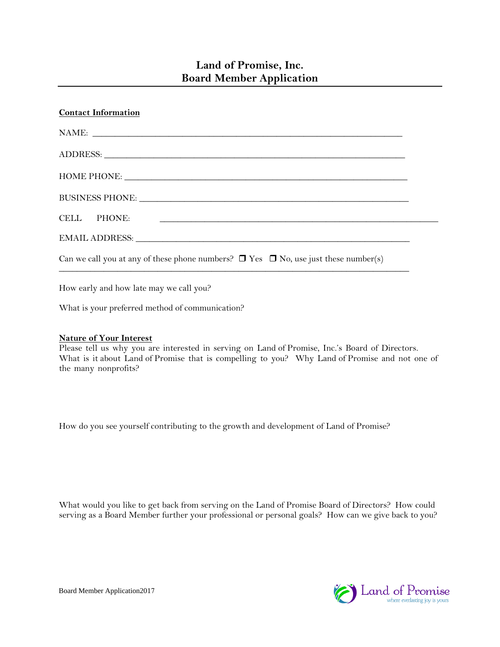# **Land of Promise, Inc. Board Member Application**

## **Contact Information**

| CELL PHONE:<br><u> 1980 - Jan Barbara de Santo de Santo de Santo de Santo de Santo de Santo de Santo de Santo de Santo de Santo </u>                                                                                           |  |
|--------------------------------------------------------------------------------------------------------------------------------------------------------------------------------------------------------------------------------|--|
| EMAIL ADDRESS: University of the Second Contract of the Second Contract of the Second Contract of the Second Contract of the Second Contract of the Second Contract of the Second Contract of the Second Contract of the Secon |  |
| Can we call you at any of these phone numbers? $\Box$ Yes $\Box$ No, use just these number(s)                                                                                                                                  |  |

How early and how late may we call you?

What is your preferred method of communication?

#### **Nature of Your Interest**

Please tell us why you are interested in serving on Land of Promise, Inc.'s Board of Directors. What is it about Land of Promise that is compelling to you? Why Land of Promise and not one of the many nonprofits?

How do you see yourself contributing to the growth and development of Land of Promise?

What would you like to get back from serving on the Land of Promise Board of Directors? How could serving as a Board Member further your professional or personal goals? How can we give back to you?

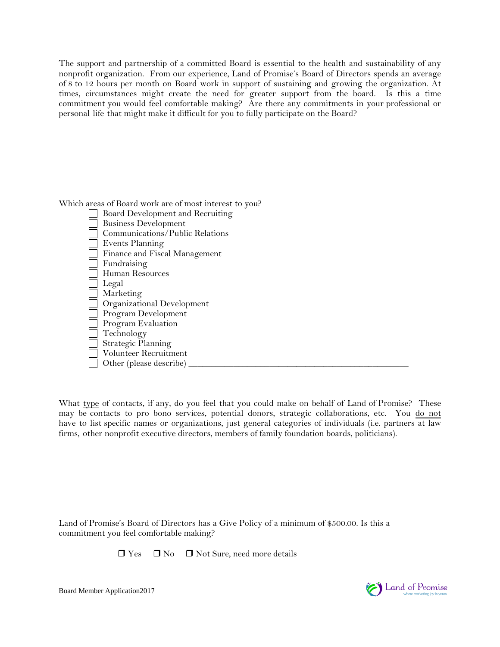The support and partnership of a committed Board is essential to the health and sustainability of any nonprofit organization. From our experience, Land of Promise's Board of Directors spends an average of 8 to 12 hours per month on Board work in support of sustaining and growing the organization. At times, circumstances might create the need for greater support from the board. Is this a time commitment you would feel comfortable making? Are there any commitments in your professional or personal life that might make it difficult for you to fully participate on the Board?

Which areas of Board work are of most interest to you?

| Board Development and Recruiting |
|----------------------------------|
| <b>Business Development</b>      |
| Communications/Public Relations  |
| Events Planning                  |
| Finance and Fiscal Management    |
| Fundraising                      |
| Human Resources                  |
| Legal                            |
| Marketing                        |
| Organizational Development       |
| Program Development              |
| Program Evaluation               |
| Technology                       |
| Strategic Planning               |
| Volunteer Recruitment            |
| Other (please describe)          |

What type of contacts, if any, do you feel that you could make on behalf of Land of Promise? These may be contacts to pro bono services, potential donors, strategic collaborations, etc. You do not have to list specific names or organizations, just general categories of individuals (i.e. partners at law firms, other nonprofit executive directors, members of family foundation boards, politicians).

Land of Promise's Board of Directors has a Give Policy of a minimum of \$500.00. Is this a commitment you feel comfortable making?

 $\Box$  Yes  $\Box$  No  $\Box$  Not Sure, need more details